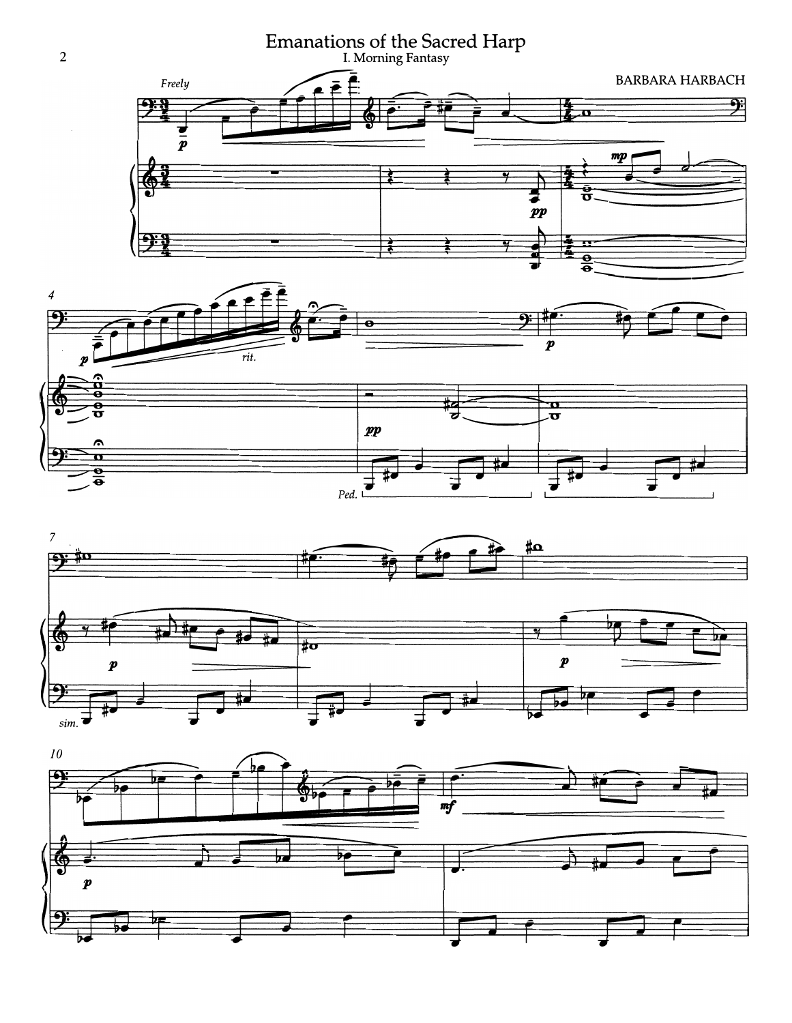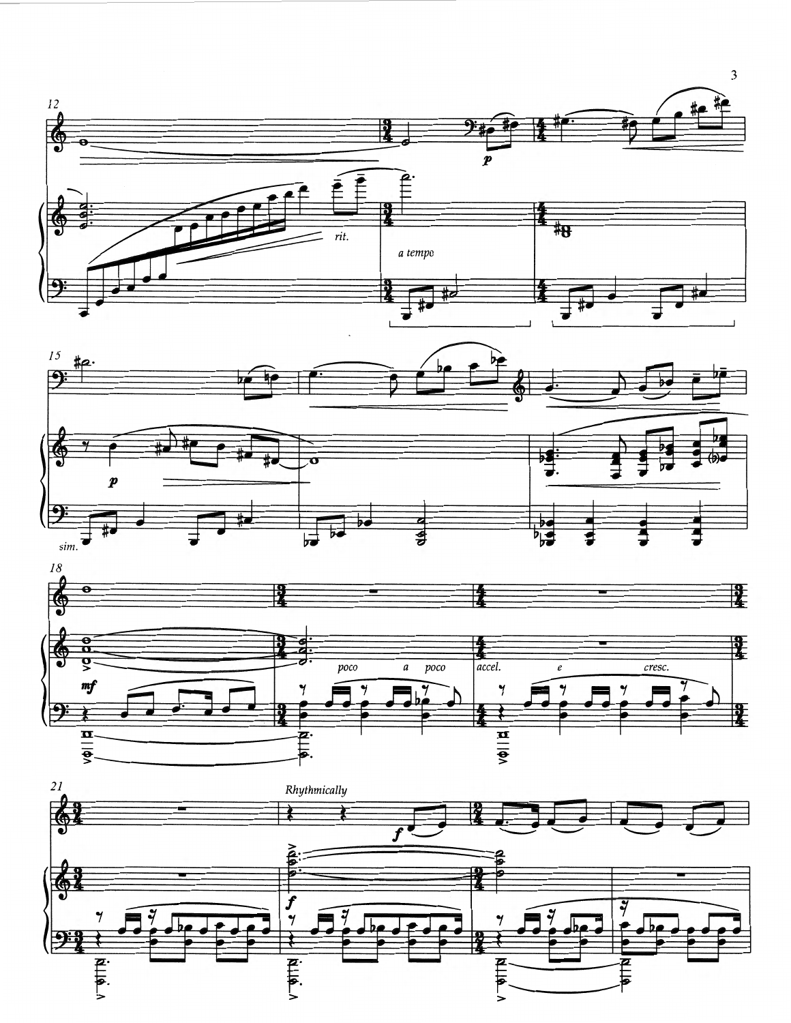





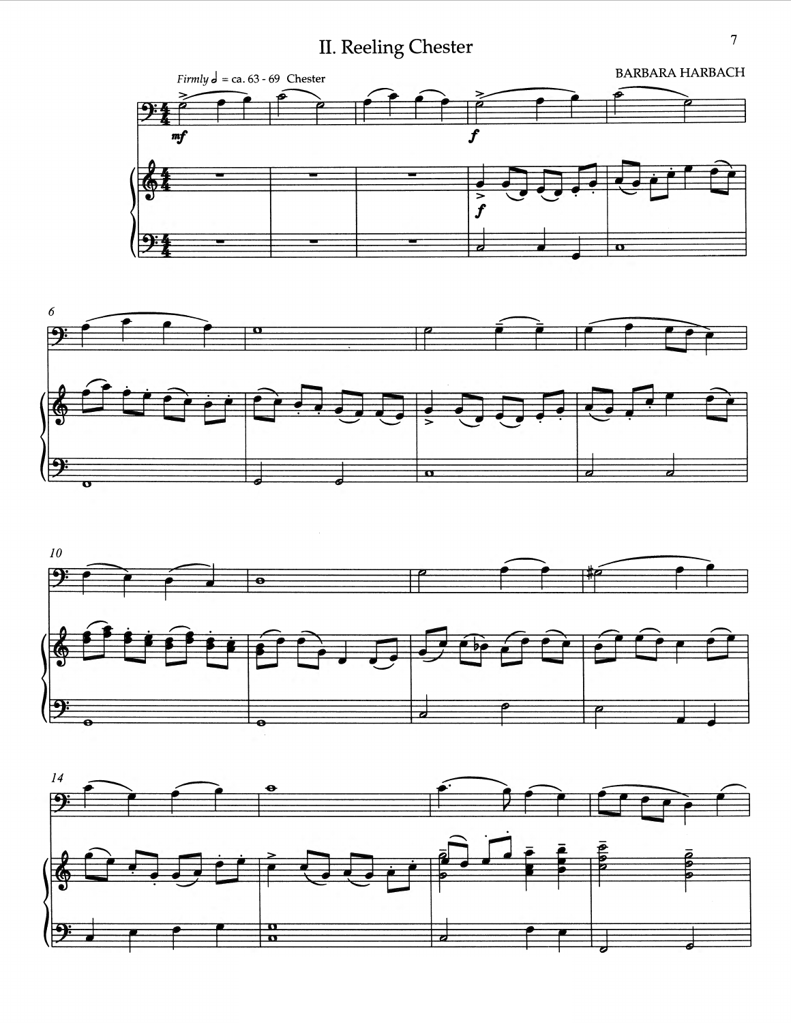**II. Reeling Chester**